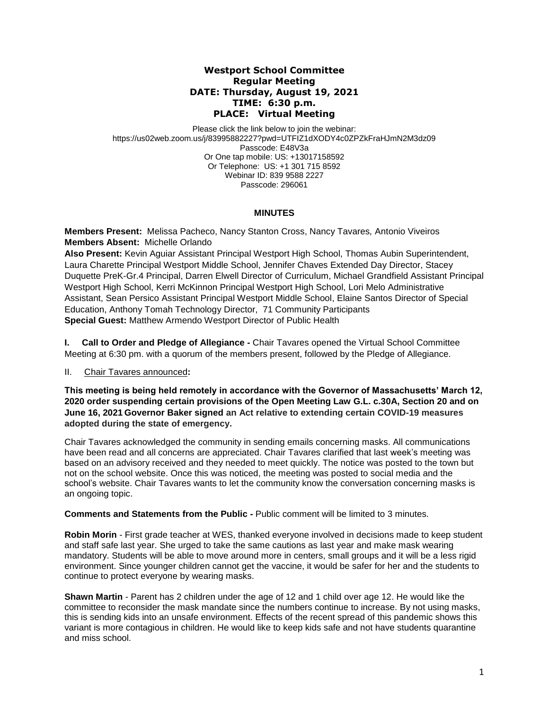## **Westport School Committee Regular Meeting DATE: Thursday, August 19, 2021 TIME: 6:30 p.m. PLACE: Virtual Meeting**

Please click the link below to join the webinar: https://us02web.zoom.us/j/83995882227?pwd=UTFIZ1dXODY4c0ZPZkFraHJmN2M3dz09 Passcode: E48V3a Or One tap mobile: US: +13017158592 Or Telephone: US: +1 301 715 8592 Webinar ID: 839 9588 2227 Passcode: 296061

# **MINUTES**

**Members Present:** Melissa Pacheco, Nancy Stanton Cross, Nancy Tavares*,* Antonio Viveiros **Members Absent:** Michelle Orlando

**Also Present:** Kevin Aguiar Assistant Principal Westport High School, Thomas Aubin Superintendent, Laura Charette Principal Westport Middle School, Jennifer Chaves Extended Day Director, Stacey Duquette PreK-Gr.4 Principal, Darren Elwell Director of Curriculum, Michael Grandfield Assistant Principal Westport High School, Kerri McKinnon Principal Westport High School, Lori Melo Administrative Assistant, Sean Persico Assistant Principal Westport Middle School, Elaine Santos Director of Special Education, Anthony Tomah Technology Director, 71 Community Participants **Special Guest:** Matthew Armendo Westport Director of Public Health

**I. Call to Order and Pledge of Allegiance -** Chair Tavares opened the Virtual School Committee Meeting at 6:30 pm. with a quorum of the members present, followed by the Pledge of Allegiance.

II. Chair Tavares announced**:** 

**This meeting is being held remotely in accordance with the Governor of Massachusetts' March 12, 2020 order suspending certain provisions of the Open Meeting Law G.L. c.30A, Section 20 and on June 16, 2021 Governor Baker signed an Act relative to extending certain COVID-19 measures adopted during the state of emergency.**

Chair Tavares acknowledged the community in sending emails concerning masks. All communications have been read and all concerns are appreciated. Chair Tavares clarified that last week's meeting was based on an advisory received and they needed to meet quickly. The notice was posted to the town but not on the school website. Once this was noticed, the meeting was posted to social media and the school's website. Chair Tavares wants to let the community know the conversation concerning masks is an ongoing topic.

**Comments and Statements from the Public -** Public comment will be limited to 3 minutes.

**Robin Morin** - First grade teacher at WES, thanked everyone involved in decisions made to keep student and staff safe last year. She urged to take the same cautions as last year and make mask wearing mandatory. Students will be able to move around more in centers, small groups and it will be a less rigid environment. Since younger children cannot get the vaccine, it would be safer for her and the students to continue to protect everyone by wearing masks.

**Shawn Martin** - Parent has 2 children under the age of 12 and 1 child over age 12. He would like the committee to reconsider the mask mandate since the numbers continue to increase. By not using masks, this is sending kids into an unsafe environment. Effects of the recent spread of this pandemic shows this variant is more contagious in children. He would like to keep kids safe and not have students quarantine and miss school.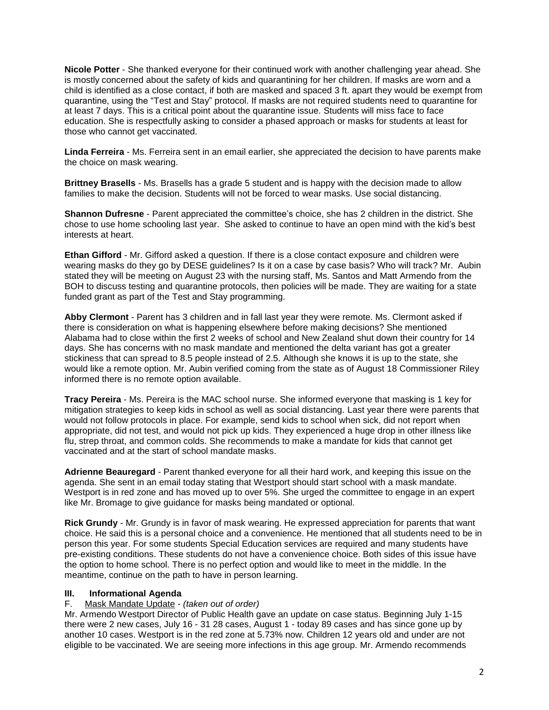**Nicole Potter** - She thanked everyone for their continued work with another challenging year ahead. She is mostly concerned about the safety of kids and quarantining for her children. If masks are worn and a child is identified as a close contact, if both are masked and spaced 3 ft. apart they would be exempt from quarantine, using the "Test and Stay" protocol. If masks are not required students need to quarantine for at least 7 days. This is a critical point about the quarantine issue. Students will miss face to face education. She is respectfully asking to consider a phased approach or masks for students at least for those who cannot get vaccinated.

**Linda Ferreira** - Ms. Ferreira sent in an email earlier, she appreciated the decision to have parents make the choice on mask wearing.

**Brittney Brasells** - Ms. Brasells has a grade 5 student and is happy with the decision made to allow families to make the decision. Students will not be forced to wear masks. Use social distancing.

**Shannon Dufresne** - Parent appreciated the committee's choice, she has 2 children in the district. She chose to use home schooling last year. She asked to continue to have an open mind with the kid's best interests at heart.

**Ethan Gifford** - Mr. Gifford asked a question. If there is a close contact exposure and children were wearing masks do they go by DESE guidelines? Is it on a case by case basis? Who will track? Mr. Aubin stated they will be meeting on August 23 with the nursing staff, Ms. Santos and Matt Armendo from the BOH to discuss testing and quarantine protocols, then policies will be made. They are waiting for a state funded grant as part of the Test and Stay programming.

**Abby Clermont** - Parent has 3 children and in fall last year they were remote. Ms. Clermont asked if there is consideration on what is happening elsewhere before making decisions? She mentioned Alabama had to close within the first 2 weeks of school and New Zealand shut down their country for 14 days. She has concerns with no mask mandate and mentioned the delta variant has got a greater stickiness that can spread to 8.5 people instead of 2.5. Although she knows it is up to the state, she would like a remote option. Mr. Aubin verified coming from the state as of August 18 Commissioner Riley informed there is no remote option available.

**Tracy Pereira** - Ms. Pereira is the MAC school nurse. She informed everyone that masking is 1 key for mitigation strategies to keep kids in school as well as social distancing. Last year there were parents that would not follow protocols in place. For example, send kids to school when sick, did not report when appropriate, did not test, and would not pick up kids. They experienced a huge drop in other illness like flu, strep throat, and common colds. She recommends to make a mandate for kids that cannot get vaccinated and at the start of school mandate masks.

**Adrienne Beauregard** - Parent thanked everyone for all their hard work, and keeping this issue on the agenda. She sent in an email today stating that Westport should start school with a mask mandate. Westport is in red zone and has moved up to over 5%. She urged the committee to engage in an expert like Mr. Bromage to give guidance for masks being mandated or optional.

**Rick Grundy** - Mr. Grundy is in favor of mask wearing. He expressed appreciation for parents that want choice. He said this is a personal choice and a convenience. He mentioned that all students need to be in person this year. For some students Special Education services are required and many students have pre-existing conditions. These students do not have a convenience choice. Both sides of this issue have the option to home school. There is no perfect option and would like to meet in the middle. In the meantime, continue on the path to have in person learning.

#### **III. Informational Agenda**

#### F. Mask Mandate Update - *(taken out of order)*

Mr. Armendo Westport Director of Public Health gave an update on case status. Beginning July 1-15 there were 2 new cases, July 16 - 31 28 cases, August 1 - today 89 cases and has since gone up by another 10 cases. Westport is in the red zone at 5.73% now. Children 12 years old and under are not eligible to be vaccinated. We are seeing more infections in this age group. Mr. Armendo recommends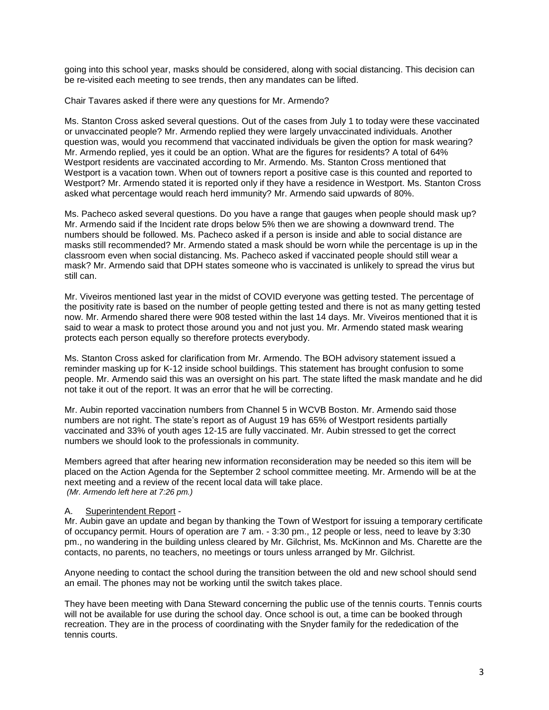going into this school year, masks should be considered, along with social distancing. This decision can be re-visited each meeting to see trends, then any mandates can be lifted.

Chair Tavares asked if there were any questions for Mr. Armendo?

Ms. Stanton Cross asked several questions. Out of the cases from July 1 to today were these vaccinated or unvaccinated people? Mr. Armendo replied they were largely unvaccinated individuals. Another question was, would you recommend that vaccinated individuals be given the option for mask wearing? Mr. Armendo replied, yes it could be an option. What are the figures for residents? A total of 64% Westport residents are vaccinated according to Mr. Armendo. Ms. Stanton Cross mentioned that Westport is a vacation town. When out of towners report a positive case is this counted and reported to Westport? Mr. Armendo stated it is reported only if they have a residence in Westport. Ms. Stanton Cross asked what percentage would reach herd immunity? Mr. Armendo said upwards of 80%.

Ms. Pacheco asked several questions. Do you have a range that gauges when people should mask up? Mr. Armendo said if the Incident rate drops below 5% then we are showing a downward trend. The numbers should be followed. Ms. Pacheco asked if a person is inside and able to social distance are masks still recommended? Mr. Armendo stated a mask should be worn while the percentage is up in the classroom even when social distancing. Ms. Pacheco asked if vaccinated people should still wear a mask? Mr. Armendo said that DPH states someone who is vaccinated is unlikely to spread the virus but still can.

Mr. Viveiros mentioned last year in the midst of COVID everyone was getting tested. The percentage of the positivity rate is based on the number of people getting tested and there is not as many getting tested now. Mr. Armendo shared there were 908 tested within the last 14 days. Mr. Viveiros mentioned that it is said to wear a mask to protect those around you and not just you. Mr. Armendo stated mask wearing protects each person equally so therefore protects everybody.

Ms. Stanton Cross asked for clarification from Mr. Armendo. The BOH advisory statement issued a reminder masking up for K-12 inside school buildings. This statement has brought confusion to some people. Mr. Armendo said this was an oversight on his part. The state lifted the mask mandate and he did not take it out of the report. It was an error that he will be correcting.

Mr. Aubin reported vaccination numbers from Channel 5 in WCVB Boston. Mr. Armendo said those numbers are not right. The state's report as of August 19 has 65% of Westport residents partially vaccinated and 33% of youth ages 12-15 are fully vaccinated. Mr. Aubin stressed to get the correct numbers we should look to the professionals in community.

Members agreed that after hearing new information reconsideration may be needed so this item will be placed on the Action Agenda for the September 2 school committee meeting. Mr. Armendo will be at the next meeting and a review of the recent local data will take place. *(Mr. Armendo left here at 7:26 pm.)*

#### A. Superintendent Report -

Mr. Aubin gave an update and began by thanking the Town of Westport for issuing a temporary certificate of occupancy permit. Hours of operation are 7 am. - 3:30 pm., 12 people or less, need to leave by 3:30 pm., no wandering in the building unless cleared by Mr. Gilchrist, Ms. McKinnon and Ms. Charette are the contacts, no parents, no teachers, no meetings or tours unless arranged by Mr. Gilchrist.

Anyone needing to contact the school during the transition between the old and new school should send an email. The phones may not be working until the switch takes place.

They have been meeting with Dana Steward concerning the public use of the tennis courts. Tennis courts will not be available for use during the school day. Once school is out, a time can be booked through recreation. They are in the process of coordinating with the Snyder family for the rededication of the tennis courts.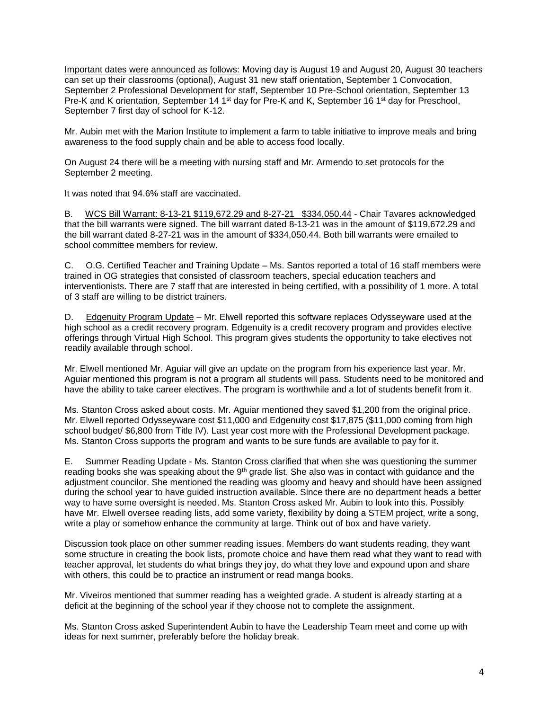Important dates were announced as follows: Moving day is August 19 and August 20, August 30 teachers can set up their classrooms (optional), August 31 new staff orientation, September 1 Convocation, September 2 Professional Development for staff, September 10 Pre-School orientation, September 13 Pre-K and K orientation, September 14 1<sup>st</sup> day for Pre-K and K, September 16 1<sup>st</sup> day for Preschool, September 7 first day of school for K-12.

Mr. Aubin met with the Marion Institute to implement a farm to table initiative to improve meals and bring awareness to the food supply chain and be able to access food locally.

On August 24 there will be a meeting with nursing staff and Mr. Armendo to set protocols for the September 2 meeting.

It was noted that 94.6% staff are vaccinated.

B. WCS Bill Warrant: 8-13-21 \$119,672.29 and 8-27-21 \$334,050.44 - Chair Tavares acknowledged that the bill warrants were signed. The bill warrant dated 8-13-21 was in the amount of \$119,672.29 and the bill warrant dated 8-27-21 was in the amount of \$334,050.44. Both bill warrants were emailed to school committee members for review.

C. O.G. Certified Teacher and Training Update – Ms. Santos reported a total of 16 staff members were trained in OG strategies that consisted of classroom teachers, special education teachers and interventionists. There are 7 staff that are interested in being certified, with a possibility of 1 more. A total of 3 staff are willing to be district trainers.

D. Edgenuity Program Update – Mr. Elwell reported this software replaces Odysseyware used at the high school as a credit recovery program. Edgenuity is a credit recovery program and provides elective offerings through Virtual High School. This program gives students the opportunity to take electives not readily available through school.

Mr. Elwell mentioned Mr. Aguiar will give an update on the program from his experience last year. Mr. Aguiar mentioned this program is not a program all students will pass. Students need to be monitored and have the ability to take career electives. The program is worthwhile and a lot of students benefit from it.

Ms. Stanton Cross asked about costs. Mr. Aguiar mentioned they saved \$1,200 from the original price. Mr. Elwell reported Odysseyware cost \$11,000 and Edgenuity cost \$17,875 (\$11,000 coming from high school budget/ \$6,800 from Title IV). Last year cost more with the Professional Development package. Ms. Stanton Cross supports the program and wants to be sure funds are available to pay for it.

E. Summer Reading Update - Ms. Stanton Cross clarified that when she was questioning the summer reading books she was speaking about the  $9<sup>th</sup>$  grade list. She also was in contact with guidance and the adjustment councilor. She mentioned the reading was gloomy and heavy and should have been assigned during the school year to have guided instruction available. Since there are no department heads a better way to have some oversight is needed. Ms. Stanton Cross asked Mr. Aubin to look into this. Possibly have Mr. Elwell oversee reading lists, add some variety, flexibility by doing a STEM project, write a song, write a play or somehow enhance the community at large. Think out of box and have variety.

Discussion took place on other summer reading issues. Members do want students reading, they want some structure in creating the book lists, promote choice and have them read what they want to read with teacher approval, let students do what brings they joy, do what they love and expound upon and share with others, this could be to practice an instrument or read manga books.

Mr. Viveiros mentioned that summer reading has a weighted grade. A student is already starting at a deficit at the beginning of the school year if they choose not to complete the assignment.

Ms. Stanton Cross asked Superintendent Aubin to have the Leadership Team meet and come up with ideas for next summer, preferably before the holiday break.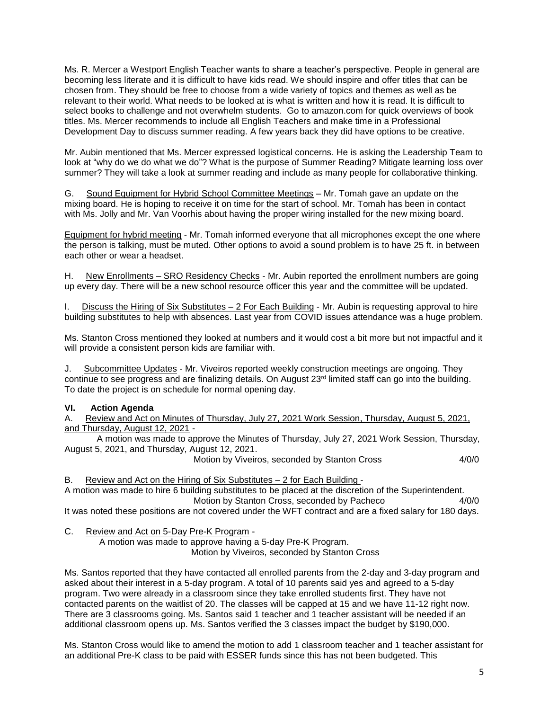Ms. R. Mercer a Westport English Teacher wants to share a teacher's perspective. People in general are becoming less literate and it is difficult to have kids read. We should inspire and offer titles that can be chosen from. They should be free to choose from a wide variety of topics and themes as well as be relevant to their world. What needs to be looked at is what is written and how it is read. It is difficult to select books to challenge and not overwhelm students. Go to amazon.com for quick overviews of book titles. Ms. Mercer recommends to include all English Teachers and make time in a Professional Development Day to discuss summer reading. A few years back they did have options to be creative.

Mr. Aubin mentioned that Ms. Mercer expressed logistical concerns. He is asking the Leadership Team to look at "why do we do what we do"? What is the purpose of Summer Reading? Mitigate learning loss over summer? They will take a look at summer reading and include as many people for collaborative thinking.

G. Sound Equipment for Hybrid School Committee Meetings – Mr. Tomah gave an update on the mixing board. He is hoping to receive it on time for the start of school. Mr. Tomah has been in contact with Ms. Jolly and Mr. Van Voorhis about having the proper wiring installed for the new mixing board.

Equipment for hybrid meeting - Mr. Tomah informed everyone that all microphones except the one where the person is talking, must be muted. Other options to avoid a sound problem is to have 25 ft. in between each other or wear a headset.

H. New Enrollments – SRO Residency Checks - Mr. Aubin reported the enrollment numbers are going up every day. There will be a new school resource officer this year and the committee will be updated.

I. Discuss the Hiring of Six Substitutes – 2 For Each Building - Mr. Aubin is requesting approval to hire building substitutes to help with absences. Last year from COVID issues attendance was a huge problem.

Ms. Stanton Cross mentioned they looked at numbers and it would cost a bit more but not impactful and it will provide a consistent person kids are familiar with.

J. Subcommittee Updates - Mr. Viveiros reported weekly construction meetings are ongoing. They continue to see progress and are finalizing details. On August 23<sup>rd</sup> limited staff can go into the building. To date the project is on schedule for normal opening day.

#### **VI. Action Agenda**

A. Review and Act on Minutes of Thursday, July 27, 2021 Work Session, Thursday, August 5, 2021, and Thursday, August 12, 2021 -

A motion was made to approve the Minutes of Thursday, July 27, 2021 Work Session, Thursday, August 5, 2021, and Thursday, August 12, 2021.

Motion by Viveiros, seconded by Stanton Cross 4/0/0

B. Review and Act on the Hiring of Six Substitutes – 2 for Each Building -

A motion was made to hire 6 building substitutes to be placed at the discretion of the Superintendent. Motion by Stanton Cross, seconded by Pacheco 4/0/0

It was noted these positions are not covered under the WFT contract and are a fixed salary for 180 days.

C. Review and Act on 5-Day Pre-K Program -

A motion was made to approve having a 5-day Pre-K Program. Motion by Viveiros, seconded by Stanton Cross

Ms. Santos reported that they have contacted all enrolled parents from the 2-day and 3-day program and asked about their interest in a 5-day program. A total of 10 parents said yes and agreed to a 5-day program. Two were already in a classroom since they take enrolled students first. They have not contacted parents on the waitlist of 20. The classes will be capped at 15 and we have 11-12 right now. There are 3 classrooms going. Ms. Santos said 1 teacher and 1 teacher assistant will be needed if an additional classroom opens up. Ms. Santos verified the 3 classes impact the budget by \$190,000.

Ms. Stanton Cross would like to amend the motion to add 1 classroom teacher and 1 teacher assistant for an additional Pre-K class to be paid with ESSER funds since this has not been budgeted. This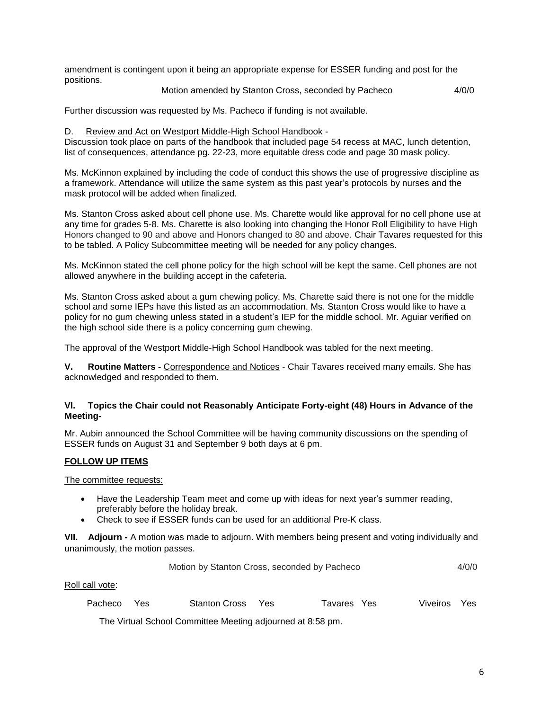amendment is contingent upon it being an appropriate expense for ESSER funding and post for the positions.

Motion amended by Stanton Cross, seconded by Pacheco 4/0/0

Further discussion was requested by Ms. Pacheco if funding is not available.

#### D. Review and Act on Westport Middle-High School Handbook -

Discussion took place on parts of the handbook that included page 54 recess at MAC, lunch detention, list of consequences, attendance pg. 22-23, more equitable dress code and page 30 mask policy.

Ms. McKinnon explained by including the code of conduct this shows the use of progressive discipline as a framework. Attendance will utilize the same system as this past year's protocols by nurses and the mask protocol will be added when finalized.

Ms. Stanton Cross asked about cell phone use. Ms. Charette would like approval for no cell phone use at any time for grades 5-8. Ms. Charette is also looking into changing the Honor Roll Eligibility to have High Honors changed to 90 and above and Honors changed to 80 and above. Chair Tavares requested for this to be tabled. A Policy Subcommittee meeting will be needed for any policy changes.

Ms. McKinnon stated the cell phone policy for the high school will be kept the same. Cell phones are not allowed anywhere in the building accept in the cafeteria.

Ms. Stanton Cross asked about a gum chewing policy. Ms. Charette said there is not one for the middle school and some IEPs have this listed as an accommodation. Ms. Stanton Cross would like to have a policy for no gum chewing unless stated in a student's IEP for the middle school. Mr. Aguiar verified on the high school side there is a policy concerning gum chewing.

The approval of the Westport Middle-High School Handbook was tabled for the next meeting.

**V. Routine Matters -** Correspondence and Notices - Chair Tavares received many emails. She has acknowledged and responded to them.

## **VI. Topics the Chair could not Reasonably Anticipate Forty-eight (48) Hours in Advance of the Meeting-**

Mr. Aubin announced the School Committee will be having community discussions on the spending of ESSER funds on August 31 and September 9 both days at 6 pm.

# **FOLLOW UP ITEMS**

The committee requests:

- Have the Leadership Team meet and come up with ideas for next year's summer reading, preferably before the holiday break.
- Check to see if ESSER funds can be used for an additional Pre-K class.

**VII. Adjourn -** A motion was made to adjourn. With members being present and voting individually and unanimously, the motion passes.

| Motion by Stanton Cross, seconded by Pacheco | 4/0/0 |
|----------------------------------------------|-------|
|----------------------------------------------|-------|

Roll call vote:

| Stanton Cross Yes<br>Pacheco Yes |  | Tavares Yes | Viveiros Yes |  |
|----------------------------------|--|-------------|--------------|--|
|----------------------------------|--|-------------|--------------|--|

The Virtual School Committee Meeting adjourned at 8:58 pm.